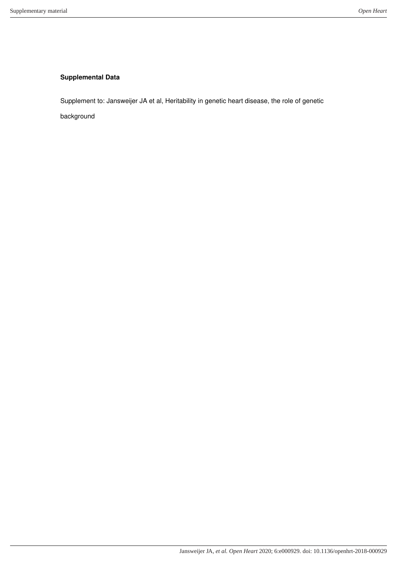## **Supplemental Data**

Supplement to: Jansweijer JA et al, Heritability in genetic heart disease, the role of genetic

background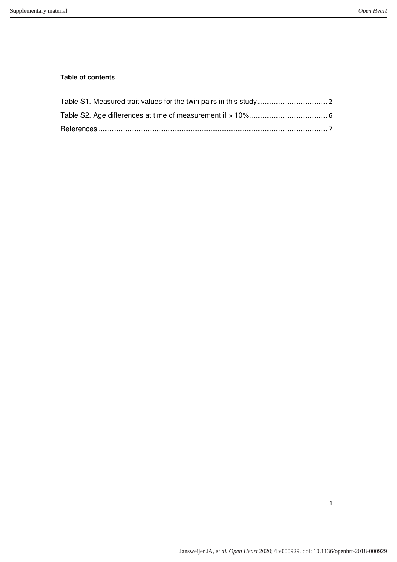## **Table of contents**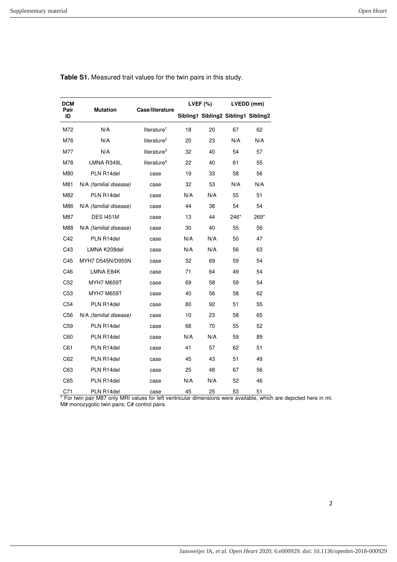| DCM             |                        |                         | LVEF $(\%)$ |                                     | LVEDD (mm) |      |
|-----------------|------------------------|-------------------------|-------------|-------------------------------------|------------|------|
| Pair<br>ID      | <b>Mutation</b>        | Case/literature         |             | Sibling1 Sibling2 Sibling1 Sibling2 |            |      |
| M72             | N/A                    | literature <sup>1</sup> | 18          | 20                                  | 67         | 62   |
| M76             | N/A                    | literature <sup>2</sup> | 20          | 23                                  | N/A        | N/A  |
| M77             | N/A                    | literature <sup>3</sup> | 32          | 40                                  | 54         | 57   |
| M78             | LMNA R349L             | literature <sup>4</sup> | 22          | 40                                  | 61         | 55   |
| M80             | PLN R14del             | case                    | 19          | 33                                  | 58         | 56   |
| M81             | N/A (familial disease) | case                    | 32          | 53                                  | N/A        | N/A  |
| M82             | PLN R14del             | case                    | N/A         | N/A                                 | 55         | 51   |
| M86             | N/A (familial disease) | case                    | 44          | 38                                  | 54         | 54   |
| M87             | <b>DES I451M</b>       | case                    | 13          | 44                                  | 246*       | 269* |
| M88             | N/A (familial disease) | case                    | 30          | 40                                  | 55         | 56   |
| C42             | PLN R14del             | case                    | N/A         | N/A                                 | 50         | 47   |
| C43             | LMNA K208del           | case                    | N/A         | N/A                                 | 56         | 63   |
| C45             | MYH7 D545N/D955N       | case                    | 32          | 69                                  | 59         | 54   |
| C46             | LMNA E84K              | case                    | 71          | 64                                  | 49         | 54   |
| C <sub>52</sub> | <b>MYH7 M659T</b>      | case                    | 69          | 58                                  | 59         | 54   |
| C <sub>53</sub> | <b>MYH7 M659T</b>      | case                    | 40          | 56                                  | 58         | 62   |
| C54             | PLN R14del             | case                    | 80          | 92                                  | 51         | 55   |
| C56             | N/A (familial disease) | case                    | 10          | 23                                  | 58         | 65   |
| C <sub>59</sub> | PLN R14del             | case                    | 68          | 70                                  | 55         | 52   |
| C60             | PLN R14del             | case                    | N/A         | N/A                                 | 59         | 89   |
| C61             | PLN R14del             | case                    | 41          | 57                                  | 62         | 51   |
| C62             | PLN R14del             | case                    | 45          | 43                                  | 51         | 49   |
| C63             | PLN R14del             | case                    | 25          | 48                                  | 67         | 56   |
| C65             | PLN R14del             | case                    | N/A         | N/A                                 | 52         | 46   |
| C71             | PLN R14del             | case                    | 45          | 25                                  | 53         | 51   |

**Table S1.** Measured trait values for the twin pairs in this study.

\* For twin pair M87 only MRI values for left ventricular dimensions were available, which are depicted here in ml. M# monozygotic twin pairs; C# control pairs.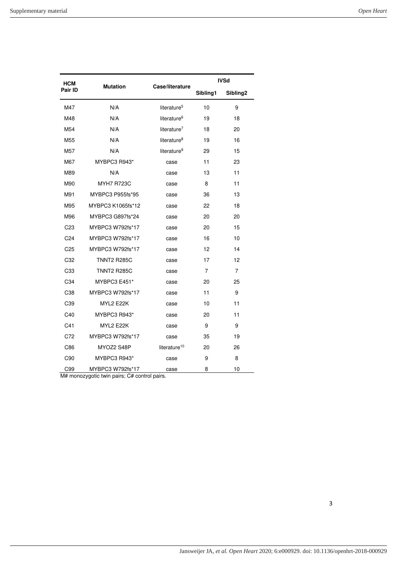| HCM             |                                                                     |                          | <b>IVSd</b> |                      |  |
|-----------------|---------------------------------------------------------------------|--------------------------|-------------|----------------------|--|
| Pair ID         | <b>Mutation</b>                                                     | Case/literature          | Sibling1    | Sibling <sub>2</sub> |  |
| M47             | N/A                                                                 | literature <sup>5</sup>  | 10          | 9                    |  |
| M48             | N/A                                                                 | literature <sup>6</sup>  | 19          | 18                   |  |
| M <sub>54</sub> | N/A                                                                 | literature <sup>7</sup>  | 18          | 20                   |  |
| M <sub>55</sub> | N/A                                                                 | literature <sup>8</sup>  | 19          | 16                   |  |
| M57             | N/A                                                                 | literature <sup>9</sup>  | 29          | 15                   |  |
| M67             | MYBPC3 R943*                                                        | case                     | 11          | 23                   |  |
| M89             | N/A                                                                 | case                     | 13          | 11                   |  |
| M90             | <b>MYH7 R723C</b>                                                   | case                     | 8           | 11                   |  |
| M91             | MYBPC3 P955fs*95                                                    | case                     | 36          | 13                   |  |
| M95             | MYBPC3 K1065fs*12                                                   | case                     | 22          | 18                   |  |
| M96             | MYBPC3 G897fs*24                                                    | case                     | 20          | 20                   |  |
| C <sub>23</sub> | MYBPC3 W792fs*17                                                    | case                     | 20          | 15                   |  |
| C <sub>24</sub> | MYBPC3 W792fs*17                                                    | case                     | 16          | 10                   |  |
| C25             | MYBPC3 W792fs*17                                                    | case                     | 12          | 14                   |  |
| C32             | <b>TNNT2 R285C</b>                                                  | case                     | 17          | 12                   |  |
| C <sub>33</sub> | <b>TNNT2 R285C</b>                                                  | case                     | 7           | $\overline{7}$       |  |
| C34             | MYBPC3 E451*                                                        | case                     | 20          | 25                   |  |
| C38             | MYBPC3 W792fs*17                                                    | case                     | 11          | 9                    |  |
| C39             | MYL2 E22K                                                           | case                     | 10          | 11                   |  |
| C40             | MYBPC3 R943*                                                        | case                     | 20          | 11                   |  |
| C <sub>41</sub> | MYL2 E22K                                                           | case                     | 9           | 9                    |  |
| C72             | MYBPC3 W792fs*17                                                    | case                     | 35          | 19                   |  |
| C86             | MYOZ2 S48P                                                          | literature <sup>10</sup> | 20          | 26                   |  |
| C90             | MYBPC3 R943*                                                        | case                     | 9           | 8                    |  |
| C99             | MYBPC3 W792fs*17<br>$M#$ monozvantic twin pairs: $C#$ control pairs | case                     | 8           | 10                   |  |

zygotic twin pairs; C# control pairs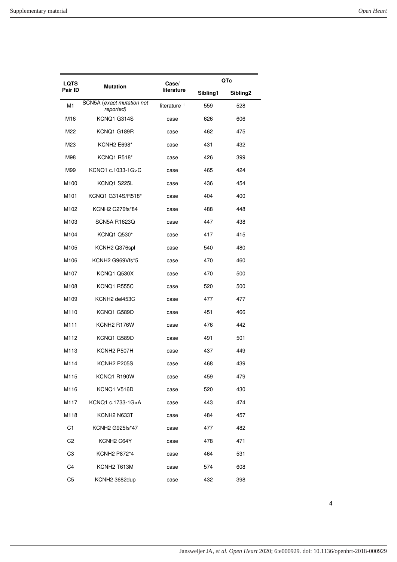| LQTS           |                                        | Case/                    | QTc      |                      |  |
|----------------|----------------------------------------|--------------------------|----------|----------------------|--|
| Pair ID        | <b>Mutation</b>                        | literature               | Sibling1 | Sibling <sub>2</sub> |  |
| M <sub>1</sub> | SCN5A (exact mutation not<br>reported) | literature <sup>11</sup> | 559      | 528                  |  |
| M16            | KCNQ1 G314S                            | case                     | 626      | 606                  |  |
| M22            | KCNQ1 G189R                            | case                     | 462      | 475                  |  |
| M23            | <b>KCNH2 E698*</b>                     | case                     | 431      | 432                  |  |
| M98            | KCNQ1 R518*                            | case                     | 426      | 399                  |  |
| M99            | KCNQ1 c.1033-1G>C                      | case                     | 465      | 424                  |  |
| M100           | KCNQ1 S225L                            | case                     | 436      | 454                  |  |
| M101           | KCNQ1 G314S/R518*                      | case                     | 404      | 400                  |  |
| M102           | KCNH2 C276fs*84                        | case                     | 488      | 448                  |  |
| M103           | <b>SCN5A R1623Q</b>                    | case                     | 447      | 438                  |  |
| M104           | <b>KCNQ1 Q530*</b>                     | case                     | 417      | 415                  |  |
| M105           | KCNH2 Q376spl                          | case                     | 540      | 480                  |  |
| M106           | KCNH2 G969Vfs*5                        | case                     | 470      | 460                  |  |
| M107           | KCNQ1 Q530X                            | case                     | 470      | 500                  |  |
| M108           | KCNQ1 R555C                            | case                     | 520      | 500                  |  |
| M109           | KCNH <sub>2</sub> del453C              | case                     | 477      | 477                  |  |
| M110           | KCNQ1 G589D                            | case                     | 451      | 466                  |  |
| M111           | KCNH2 R176W                            | case                     | 476      | 442                  |  |
| M112           | KCNQ1 G589D                            | case                     | 491      | 501                  |  |
| M113           | KCNH <sub>2</sub> P507H                | case                     | 437      | 449                  |  |
| M114           | KCNH <sub>2</sub> P <sub>205S</sub>    | case                     | 468      | 439                  |  |
| M115           | KCNQ1 R190W                            | case                     | 459      | 479                  |  |
| M116           | KCNQ1 V516D                            | case                     | 520      | 430                  |  |
| M117           | KCNQ1 c.1733-1G>A                      | case                     | 443      | 474                  |  |
| M118           | KCNH2 N633T                            | case                     | 484      | 457                  |  |
| C <sub>1</sub> | KCNH2 G925fs*47                        | case                     | 477      | 482                  |  |
| C <sub>2</sub> | KCNH <sub>2</sub> C64Y                 | case                     | 478      | 471                  |  |
| C <sub>3</sub> | KCNH <sub>2</sub> P872*4               | case                     | 464      | 531                  |  |
| C4             | KCNH2 T613M                            | case                     | 574      | 608                  |  |
| C <sub>5</sub> | KCNH2 3682dup                          | case                     | 432      | 398                  |  |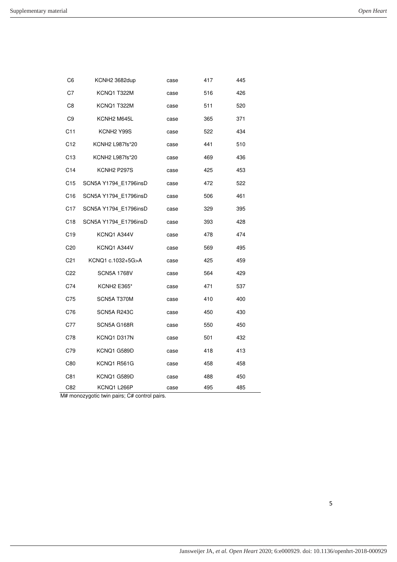5

| C6              | KCNH2 3682dup                                | case | 417 | 445 |  |
|-----------------|----------------------------------------------|------|-----|-----|--|
| C7              | KCNQ1 T322M                                  | case | 516 | 426 |  |
| C8              | KCNQ1 T322M                                  | case | 511 | 520 |  |
| C <sub>9</sub>  | KCNH <sub>2</sub> M645L                      | case | 365 | 371 |  |
| C <sub>11</sub> | KCNH <sub>2</sub> Y <sub>99S</sub>           | case | 522 | 434 |  |
| C12             | KCNH2 L987fs*20                              | case | 441 | 510 |  |
| C <sub>13</sub> | KCNH2 L987fs*20                              | case | 469 | 436 |  |
| C14             | KCNH <sub>2</sub> P <sub>297S</sub>          | case | 425 | 453 |  |
| C15             | SCN5A Y1794 E1796insD                        | case | 472 | 522 |  |
| C16             | SCN5A Y1794 E1796insD                        | case | 506 | 461 |  |
| C <sub>17</sub> | SCN5A Y1794 E1796insD                        | case | 329 | 395 |  |
| C <sub>18</sub> | SCN5A Y1794 E1796insD                        | case | 393 | 428 |  |
| C <sub>19</sub> | KCNQ1 A344V                                  | case | 478 | 474 |  |
| C20             | KCNQ1 A344V                                  | case | 569 | 495 |  |
| C <sub>21</sub> | KCNQ1 c.1032+5G>A                            | case | 425 | 459 |  |
| C <sub>22</sub> | <b>SCN5A 1768V</b>                           | case | 564 | 429 |  |
| C74             | <b>KCNH2 E365*</b>                           | case | 471 | 537 |  |
| C75             | SCN5A T370M                                  | case | 410 | 400 |  |
| C76             | SCN5A R243C                                  | case | 450 | 430 |  |
| C77             | SCN5A G168R                                  | case | 550 | 450 |  |
| C78             | KCNQ1 D317N                                  | case | 501 | 432 |  |
| C79             | KCNQ1 G589D                                  | case | 418 | 413 |  |
| C80             | KCNQ1 R561G                                  | case | 458 | 458 |  |
| C81             | KCNQ1 G589D                                  | case | 488 | 450 |  |
| C82             | KCNQ1 L266P                                  | case | 495 | 485 |  |
|                 | M# monozygotic twin pairs; C# control pairs. |      |     |     |  |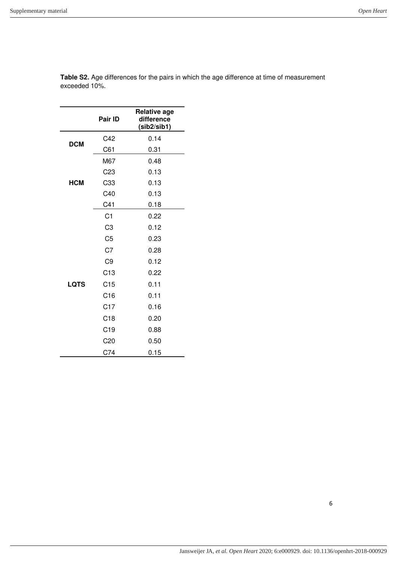|             | Pair ID         | <b>Relative age</b><br>difference<br>(sib2/sib1) |
|-------------|-----------------|--------------------------------------------------|
|             | C42             | 0.14                                             |
| <b>DCM</b>  | C61             | 0.31                                             |
|             | M67             | 0.48                                             |
|             | C <sub>23</sub> | 0.13                                             |
| HCM         | C33             | 0.13                                             |
|             | C40             | 0.13                                             |
|             | C41             | 0.18                                             |
|             | C <sub>1</sub>  | 0.22                                             |
|             | C <sub>3</sub>  | 0.12                                             |
|             | C <sub>5</sub>  | 0.23                                             |
|             | C7              | 0.28                                             |
|             | C <sub>9</sub>  | 0.12                                             |
|             | C13             | 0.22                                             |
| <b>LQTS</b> | C <sub>15</sub> | 0.11                                             |
|             | C16             | 0.11                                             |
|             | C17             | 0.16                                             |
|             | C18             | 0.20                                             |
|             | C <sub>19</sub> | 0.88                                             |
|             | C <sub>20</sub> | 0.50                                             |
|             | C74             | 0.15                                             |

**Table S2.** Age differences for the pairs in which the age difference at time of measurement exceeded 10%.